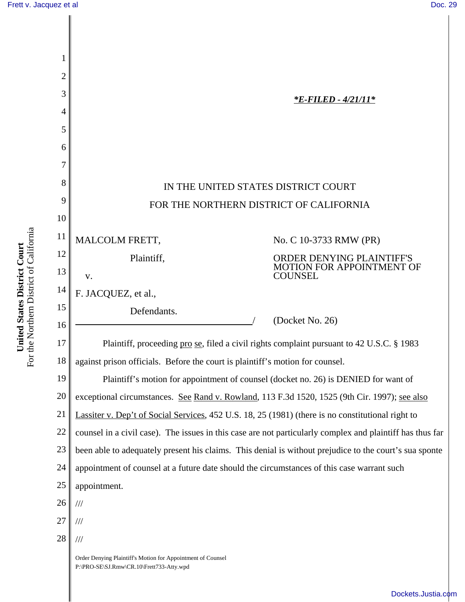

[Dockets.Justia.com](http://dockets.justia.com/)